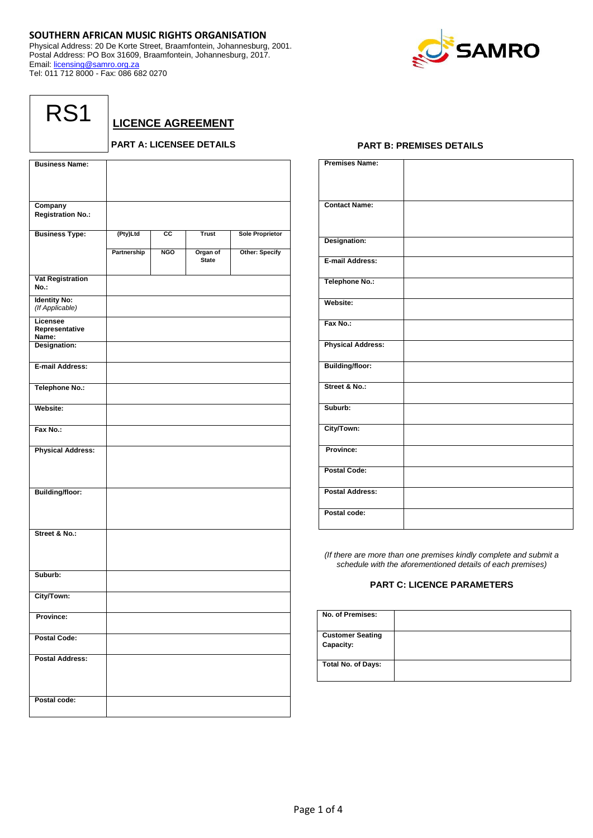# **SOUTHERN AFRICAN MUSIC RIGHTS ORGANISATION**

Physical Address: 20 De Korte Street, Braamfontein, Johannesburg, 2001. Postal Address: PO Box 31609, Braamfontein, Johannesburg, 2017. Email: [licensing@samro.org.za](mailto:licensing@samro.org.za) Tel: 011 712 8000 - Fax: 086 682 0270



| ◢<br>۰<br>L<br>I<br>۹ |
|-----------------------|
|-----------------------|

**LICENCE AGREEMENT**

# **PART A: LICENSEE DETAILS**

| <b>Business Name:</b>                  |             |                 |              |                        |
|----------------------------------------|-------------|-----------------|--------------|------------------------|
|                                        |             |                 |              |                        |
|                                        |             |                 |              |                        |
| Company                                |             |                 |              |                        |
| <b>Registration No.:</b>               |             |                 |              |                        |
|                                        |             | $\overline{cc}$ | <b>Trust</b> |                        |
| <b>Business Type:</b>                  | (Pty)Ltd    |                 |              | <b>Sole Proprietor</b> |
|                                        | Partnership | <b>NGO</b>      | Organ of     | <b>Other: Specify</b>  |
|                                        |             |                 | <b>State</b> |                        |
| <b>Vat Registration</b>                |             |                 |              |                        |
| No.:                                   |             |                 |              |                        |
| <b>Identity No:</b><br>(If Applicable) |             |                 |              |                        |
| Licensee                               |             |                 |              |                        |
| Representative                         |             |                 |              |                        |
| Name:                                  |             |                 |              |                        |
| Designation:                           |             |                 |              |                        |
| E-mail Address:                        |             |                 |              |                        |
|                                        |             |                 |              |                        |
| <b>Telephone No.:</b>                  |             |                 |              |                        |
|                                        |             |                 |              |                        |
| Website:                               |             |                 |              |                        |
| Fax No.:                               |             |                 |              |                        |
|                                        |             |                 |              |                        |
| <b>Physical Address:</b>               |             |                 |              |                        |
|                                        |             |                 |              |                        |
|                                        |             |                 |              |                        |
| <b>Building/floor:</b>                 |             |                 |              |                        |
|                                        |             |                 |              |                        |
|                                        |             |                 |              |                        |
|                                        |             |                 |              |                        |
| Street & No.:                          |             |                 |              |                        |
|                                        |             |                 |              |                        |
|                                        |             |                 |              |                        |
| Suburb:                                |             |                 |              |                        |
|                                        |             |                 |              |                        |
| City/Town:                             |             |                 |              |                        |
|                                        |             |                 |              |                        |
| Province:                              |             |                 |              |                        |
| <b>Postal Code:</b>                    |             |                 |              |                        |
|                                        |             |                 |              |                        |
| <b>Postal Address:</b>                 |             |                 |              |                        |
|                                        |             |                 |              |                        |
|                                        |             |                 |              |                        |
| Postal code:                           |             |                 |              |                        |
|                                        |             |                 |              |                        |

# **PART B: PREMISES DETAILS**

| <b>Premises Name:</b>    |  |
|--------------------------|--|
| <b>Contact Name:</b>     |  |
| Designation:             |  |
| E-mail Address:          |  |
| <b>Telephone No.:</b>    |  |
| Website:                 |  |
| Fax No.:                 |  |
| <b>Physical Address:</b> |  |
| <b>Building/floor:</b>   |  |
| Street & No.:            |  |
| Suburb:                  |  |
| City/Town:               |  |
| Province:                |  |
| <b>Postal Code:</b>      |  |
| <b>Postal Address:</b>   |  |
| Postal code:             |  |

*(If there are more than one premises kindly complete and submit a schedule with the aforementioned details of each premises)*

# **PART C: LICENCE PARAMETERS**

| No. of Premises:                     |  |
|--------------------------------------|--|
| <b>Customer Seating</b><br>Capacity: |  |
| <b>Total No. of Days:</b>            |  |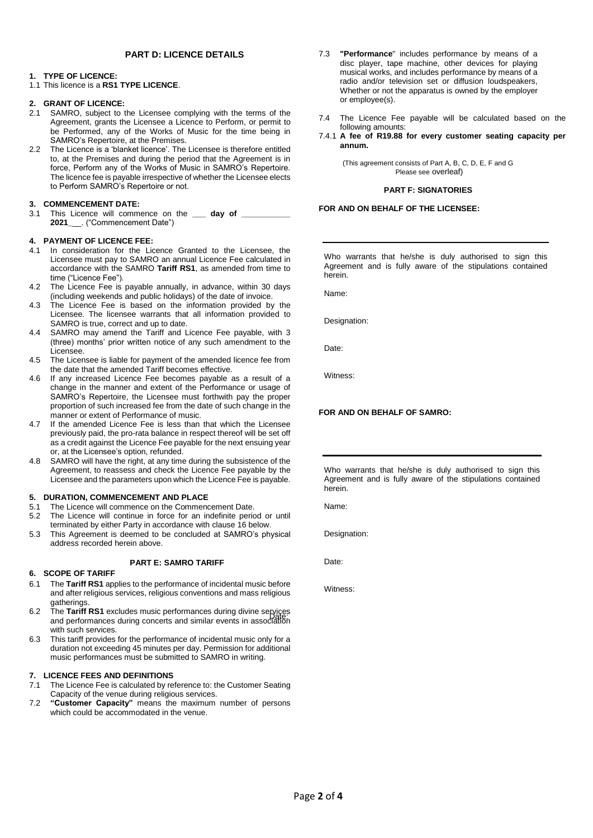# **PART D: LICENCE DETAILS**

## **1. TYPE OF LICENCE:**

# 1.1 This licence is a **RS1 TYPE LICENCE**.

# **2. GRANT OF LICENCE:**

- 2.1 SAMRO, subject to the Licensee complying with the terms of the Agreement, grants the Licensee a Licence to Perform, or permit to be Performed, any of the Works of Music for the time being in SAMRO's Repertoire, at the Premises.
- 2.2 The Licence is a 'blanket licence'. The Licensee is therefore entitled to, at the Premises and during the period that the Agreement is in force, Perform any of the Works of Music in SAMRO's Repertoire. The licence fee is payable irrespective of whether the Licensee elects to Perform SAMRO's Repertoire or not.

## **3. COMMENCEMENT DATE:**

3.1 This Licence will commence on the \_\_\_\_ day of \_\_ **2021\_**\_\_. ("Commencement Date")

# **4. PAYMENT OF LICENCE FEE:**

- 4.1 In consideration for the Licence Granted to the Licensee, the Licensee must pay to SAMRO an annual Licence Fee calculated in accordance with the SAMRO **Tariff RS1**, as amended from time to time ("Licence Fee").
- 4.2 The Licence Fee is payable annually, in advance, within 30 days (including weekends and public holidays) of the date of invoice.
- 4.3 The Licence Fee is based on the information provided by the Licensee. The licensee warrants that all information provided to SAMRO is true, correct and up to date.
- 4.4 SAMRO may amend the Tariff and Licence Fee payable, with 3 (three) months' prior written notice of any such amendment to the Licensee.
- 4.5 The Licensee is liable for payment of the amended licence fee from the date that the amended Tariff becomes effective.
- 4.6 If any increased Licence Fee becomes payable as a result of a change in the manner and extent of the Performance or usage of SAMRO's Repertoire, the Licensee must forthwith pay the proper proportion of such increased fee from the date of such change in the manner or extent of Performance of music.
- 4.7 If the amended Licence Fee is less than that which the Licensee previously paid, the pro-rata balance in respect thereof will be set off as a credit against the Licence Fee payable for the next ensuing year or, at the Licensee's option, refunded.
- 4.8 SAMRO will have the right, at any time during the subsistence of the Agreement, to reassess and check the Licence Fee payable by the Licensee and the parameters upon which the Licence Fee is payable.

### **5. DURATION, COMMENCEMENT AND PLACE**

- 5.1 The Licence will commence on the Commencement Date.
- 5.2 The Licence will continue in force for an indefinite period or until terminated by either Party in accordance with clause 16 below.
- 5.3 This Agreement is deemed to be concluded at SAMRO's physical address recorded herein above.

### **PART E: SAMRO TARIFF**

# **6. SCOPE OF TARIFF**

- 6.1 The **Tariff RS1** applies to the performance of incidental music before and after religious services, religious conventions and mass religious gatherings.
- 6.2 The Tariff RS1 excludes music performances during divine services and performances during concerts and similar events in association with such services.
- 6.3 This tariff provides for the performance of incidental music only for a duration not exceeding 45 minutes per day. Permission for additional music performances must be submitted to SAMRO in writing.

### **7. LICENCE FEES AND DEFINITIONS**

- 7.1 The Licence Fee is calculated by reference to: the Customer Seating Capacity of the venue during religious services.
- 7.2 **"Customer Capacity"** means the maximum number of persons which could be accommodated in the venue.
- 7.3 **"Performance**" includes performance by means of a disc player, tape machine, other devices for playing musical works, and includes performance by means of a radio and/or television set or diffusion loudspeakers, Whether or not the apparatus is owned by the employer or employee(s).
- 7.4 The Licence Fee payable will be calculated based on the following amounts:
- 7.4.1 **A fee of R19.88 for every customer seating capacity per annum.**

(This agreement consists of Part A, B, C, D, E, F and G Please see overleaf)

### **PART F: SIGNATORIES**

### **FOR AND ON BEHALF OF THE LICENSEE:**

Who warrants that he/she is duly authorised to sign this Agreement and is fully aware of the stipulations contained herein.

Name:

Designation:

Date:

Witness:

### **FOR AND ON BEHALF OF SAMRO:**

Who warrants that he/she is duly authorised to sign this Agreement and is fully aware of the stipulations contained herein.

Name:

Designation:

Date:

Witness: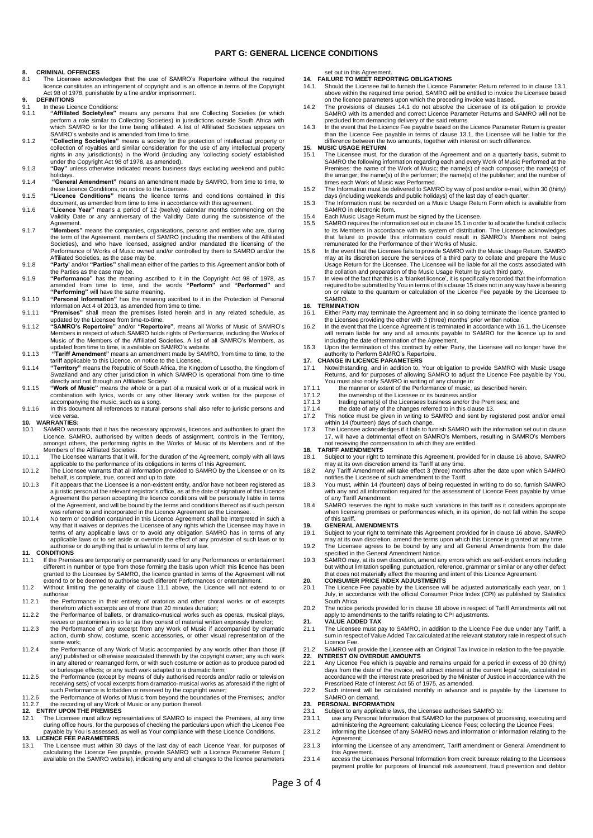### **PART G: GENERAL LICENCE CONDITIONS**

# **8. CRIMINAL OFFENCES**<br>8.1 The Licensee acknow

- The Licensee acknowledges that the use of SAMRO's Repertoire without the required licence constitutes an infringement of copyright and is an offence in terms of the Copyright Act 98 of 1978, punishable by a fine and/or imprisonment.
- **9. DEFINITIONS**
- 9.1 In these Licence Conditions:<br>9.1. **"Affiliated Society/jes"** 9.1.1 **"Affiliated Society/ies"** means any persons that are Collecting Societies (or which perform a role similar to Collecting Societies) in jurisdictions outside South Africa with which SAMRO is for the time being affiliated. A list of Affiliated Societies appears on SAMRO's website and is amended from time to time.
- 9.1.2 "Collecting Society/les" means a society for the protection of intellectual property or<br>collection of royalties and similar consideration for the use of any intellectual property<br>rights in any jurisdiction(s) in the under the Copyright Act 98 of 1978, as amended).
- 9.1.3 **"Day"** unless otherwise indicated means business days excluding weekend and public
- holidays. 9.1.4 **"General Amendment"** means an amendment made by SAMRO, from time to time, to
- these Licence Conditions, on notice to the Licensee. 9.1.5 **"Licence Conditions"** means the licence terms and conditions contained in this
- document, as amended from time to time in accordance with this agreement. 9.1.6 **"Licence Year"** means a period of 12 (twelve) calendar months commencing on the Validity Date or any anniversary of the Validity Date during the subsistence of the Agreement.
- 9.1.7 **"Members"** means the companies, organisations, persons and entities who are, during the term of the Agreement, members of SAMRO (including the members of the Affiliated Societies), and who have licensed, assigned and/or mandated the licensing of the Performance of Works of Music owned and/or controlled by them to SAMRO and/or the Affiliated Societies, as the case may be.
- 9.1.8 **"Party'** and/or **"Parties"** shall mean either of the parties to this Agreement and/or both of the Parties as the case may be.
- 9.1.9 **"Performance"** has the meaning ascribed to it in the Copyright Act 98 of 1978, as amended from time to time, and the words **"Perform"** and **"Performed"** and **"Performing"** will have the same meaning.
- 9.1.10 **"Personal Information"** has the meaning ascribed to it in the Protection of Personal Information Act 4 of 2013, as amended from time to time. 9.1.11 **"Premises"** shall mean the premises listed herein and in any related schedule, as
- 
- updated by the Licensee from time-to-time.<br>9.1.12 "SAMRO's Repertoire" and/or "Repertoire", means all Works of Music of SAMRO's<br>Members in respect of which SAMRO holds rights of Performance, including the Works of<br>Music of
- 9.1.13 **"Tariff Amendment"** means an amendment made by SAMRO, from time to time, to the tariff applicable to this Licence, on notice to the Licensee.
- 9.1.14 **"Territory"** means the Republic of South Africa, the Kingdom of Lesotho, the Kingdom of Swaziland and any other jurisdiction in which SAMRO is operational from time to time directly and not through an Affiliated Society. 9.1.15 **"Work of Music"** means the whole or a part of a musical work or of a musical work in
- combination with lyrics, words or any other literary work written for the purpose of accompanying the music, such as a song.
- 9.1.16 In this document all references to natural persons shall also refer to juristic persons and vice versa. **10. WARRANTIES:**

- 10.1 SAMRO warrants that it has the necessary approvals, licences and authorities to grant the Licence. SAMRO, authorised by written deeds of assignment, controls in the Territory, amongst others, the performing rights in the Works of Music of its Members and of the Members of the Affiliated Societies.
- 10.1.1 The Licensee warrants that it will, for the duration of the Agreement, comply with all laws applicable to the performance of its obligations in terms of this Agreement.
- 10.1.2 The Licensee warrants that all information provided to SAMRO by the Licensee or on its behalf, is complete, true, correct and up to date. 10.1.3 If it appears that the Licensee is a non-existent entity, and/or have not been registered as
- a juristic person at the relevant registrar's office, as at the date of signature of this Licence Agreement the person accepting the licence conditions will be personally liable in terms<br>of the Agreement, and will be bound by the terms and conditions thereof as if such person<br>was referred to and incorporated in the Lic
- 10.1.4 No term or condition contained in this Licence Agreement shall be interpreted in such a way that it waives or deprives the Licensee of any rights which the Licensee may have in terms of any applicable laws or to avoid any obligation SAMRO has in terms of any applicable laws or to set aside or override the effect of any provision of such laws or to authorise or do anything that is unlawful in terms of any law.

### **11. CONDITIONS**

- 11.1 If the Premises are temporarily or permanently used for any Performances or entertainment different in number or type from those forming the basis upon which this licence has been granted to the Licensee by SAMRO, the licence granted in terms of the Agreement will not extend to or be deemed to authorise such different Performances or entertainment.
- 11.2 Without limiting the generality of clause 11.1 above, the Licence will not extend to or authorise:
- 11.2.1 the Performance in their entirety of oratorios and other choral works or of excerpts therefrom which excerpts are of more than 20 minutes duration; 11.2.2 the Performance of ballets, or dramatico-musical works such as operas, musical plays,
- 
- revues or pantomimes in so far as they consist of material written expressly therefor; 11.2.3 the Performance of any excerpt from any Work of Music if accompanied by dramatic action, dumb show, costume, scenic accessories, or other visual representation of the same work;
- 11.2.4 the Performance of any Work of Music accompanied by any words other than those (if any) published or otherwise associated therewith by the copyright owner; any such work in any altered or rearranged form, or with such costume or action as to produce parodied or burlesque effects; or any such work adapted to a dramatic form;
- 11.2.5 the Performance (except by means of duly authorised records and/or radio or television<br>receiving sets) of vocal excerpts from dramatico-musical works as aforesaid if the right of<br>such Performance is forbidden or res

11.2.6 the Performance of Works of Music from beyond the boundaries of the Premises; and/or 11.2.7 the recording of any Work of Music or any portion thereof.

### **12. ENTRY UPON THE PREMISES**

11.1 The Licensee must allow representatives of SAMRO to inspect the Premises, at any time during office hours, for the purposes of checking the particulars upon which the Licence Fee payable by You is assessed, as well as Your compliance with these Licence Conditions.

### **13. LICENCE FEE PARAMETERS**

13.1 The Licensee must within 30 days of the last day of each Licence Year, for purposes of calculating the Licence Fee payable, provide SAMRO with a Licence Parameter Return ( available on the SAMRO website), indicating any and all changes to the licence parameters

- set out in this Agreement. **14. FAILURE TO MEET REPORTING OBLIGATIONS**
- 14.1 Should the Licensee fail to furnish the Licence Parameter Return referred to in clause 13.1 above within the required time period, SAMRO will be entitled to invoice the Licensee based
- on the licence parameters upon which the preceding invoice was based. 14.2 The provisions of clauses 14.1 do not absolve the Licensee of its obligation to provide SAMRO with its amended and correct Licence Parameter Returns and SAMRO will not be precluded from demanding delivery of the said returns.
- 14.3 In the event that the Licence Fee payable based on the Licence Parameter Return is greater than the Licence Fee payable in terms of clause 13.1, the Licensee will be liable for the difference between the two amounts, together with interest on such difference.
- **15. MUSIC USAGE RETURN**
- 15.1 The Licensee must, for the duration of the Agreement and on a quarterly basis, submit to SAMRO the following information regarding each and every Work of Music Performed at the<br>Premises: the name of the Work of Music; the name(s) of each composer; the name(s) of<br>the arranger; the name(s) of the performer; the
- 15.2 The Information must be delivered to SAMRO by way of post and/or e-mail, within 30 (thirty)
- days (including weekends and public holidays) of the last day of each quarter. 15.3 The Information must be recorded on a Music Usage Return Form which is available from SAMRO in electronic form.
- 
- 15.4 Each Music Usage Return must be signed by the Licensee. 15.5 SAMRO requires the information set out in clause 15.1 in order to allocate the funds it collects to its Members in accordance with its system of distribution. The Licensee acknowledges<br>that failure to provide this information could result in SAMRO's Members not being<br>remunerated for the Performance of their Works of M
- 15.6 In the event that the Licensee fails to provide SAMRO with the Music Usage Return, SAMRO may at its discretion secure the services of a third party to collate and prepare the Music Usage Return for the Licensee. The Licensee will be liable for all the costs associated with the collation and preparation of the Music Usage Return by such third party.
- 15.7 In view of the fact that this is a 'blanket licence', it is specifically recorded that the information required to be submitted by You in terms of this clause 15 does not in any way have a bearing on or relate to the quantum or calculation of the Licence Fee payable by the Licensee to SAMRO.

### **16. TERMINATION**

- Either Party may terminate the Agreement and in so doing terminate the licence granted to the Licensee providing the other with 3 (three) months' prior written notice.
- 16.2 In the event that the Licence Agreement is terminated in accordance with 16.1, the Licensee will remain liable for any and all amounts payable to SAMRO for the licence up to and<br>including the date of termination of the Agreement.<br>16.3 Upon the termination of this contract by either Party, the Licensee will no lon
- authority to Perform SAMRO's Repertoire.

### **17. CHANGE IN LICENCE PARAMETERS**

- 17.1 Notwithstanding, and in addition to, Your obligation to provide SAMRO with Music Usage<br>Returns, and for purposes of allowing SAMRO to adjust the Licence Fee payable by You,<br>You must also notify SAMRO in writing of any
- 
- 17.1.2 the ownership of the Licensee or its business and/or<br>17.1.3 trading name(s) of the Licensees business and/or the
- 17.1.3 trading name(s) of the Licensees business and/or the Premises; and<br>17.1.4 the date of any of the changes referred to in this clause 13.
- 
- 17.1.4 the date of any of the changes referred to in this clause 13. 17.2 This notice must be given in writing to SAMRO and sent by registered post and/or email within 14 (fourteen) days of such change.
- 17.3 The Licensee acknowledges if it fails to furnish SAMRO with the information set out in clause 17, will have a detrimental effect on SAMRO's Members, resulting in SAMRO's Members not receiving the compensation to which they are entitled. **18. TARIFF AMENDMENTS**

- 18.1 Subject to your right to terminate this Agreement, provided for in clause 16 above, SAMRO may at its own discretion amend its Tariff at any time.
- 18.2 Any Tariff Amendment will take effect 3 (three) months after the date upon which SAMRO notifies the Licensee of such amendment to the Tariff.
- 18.3 You must, within 14 (fourteen) days of being requested in writing to do so, furnish SAMRO with any and all information required for the assessment of Licence Fees payable by virtue of any Tariff Amendment.
- 18.4 SAMRO reserves the right to make such variations in this tariff as it considers appropriate when licensing premises or performances which, in its opinion, do not fall within the scope of this tariff.

### **19. GENERAL AMENDMENTS**

- 19.1 Subject to your right to terminate this Agreement provided for in clause 16 above, SAMRO may at its own discretion, amend the terms upon which this Licence is granted at any time.
- 19.2 The Licensee agrees to be bound by any and all General Amendments from the date specified in the General Amendment Notice.
- 19.3 SAMRO may, at its own discretion, amend any errors which are self-evident errors including but without limitation spelling, punctuation, reference, grammar or similar or any other defect that does not materially affect the meaning and intent of this Licence Agreement.

**20. CONSUMER PRICE INDEX ADJUSTMENTS** 20.1 The Licence Fee payable by the Licensee will be adjusted automatically each year, on 1 July, in accordance with the official Consumer Price Index (CPI) as published by Statistics South Africa.

# 20.2 The notice periods provided for in clause 18 above in respect of Tariff Amendments will not apply to amendments to the tariffs relating to CPI adjustments.

- **21. VALUE ADDED TAX**<br>21.1 The Licensee must pa
- 21.1 The Licensee must pay to SAMRO, in addition to the Licence Fee due under any Tariff, a sum in respect of Value Added Tax calculated at the relevant statutory rate in respect of such Licence Fee.

### 21.2 SAMRO will provide the Licensee with an Original Tax Invoice in relation to the fee payable. **22. INTEREST ON OVERDUE AMOUNTS**

- 22.1 Any Licence Fee which is payable and remains unpaid for a period in excess of 30 (thirty) days from the date of the invoice, will attract interest at the current legal rate, calculated in accordance with the interest rate prescribed by the Minister of Justice in accordance with the
- Prescribed Rate of Interest Act 55 of 1975, as amended. 22.2 Such interest will be calculated monthly in advance and is payable by the Licensee to SAMRO on demand.

# **23. PERSONAL INFORMATION**<br>23.1 Subject to any applicable is

- 
- 23.1 Subject to any applicable laws, the Licensee authorises SAMRO to:<br>23.1.1 use any Personal Information that SAMRO for the purposes of processing, executing and<br>administering the Agreement; calculating Licence Fees; col
- 23.1.2 informing the Licensee of any SAMRO news and information or information relating to the Agreement; 23.1.3 informing the Licensee of any amendment, Tariff amendment or General Amendment to
- this Agreement. 23.1.4 access the Licensees Personal Information from credit bureaux relating to the Licensees
- payment profile for purposes of financial risk assessment, fraud prevention and debtor